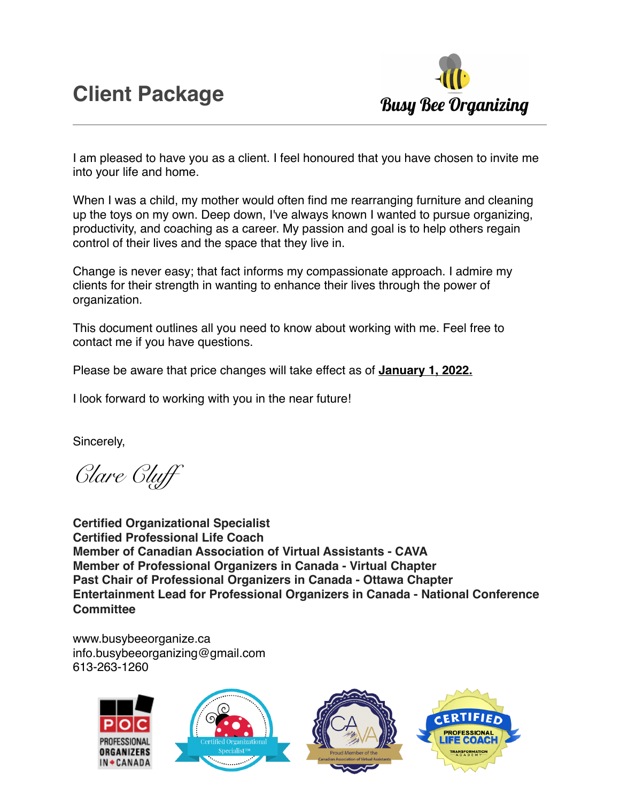

I am pleased to have you as a client. I feel honoured that you have chosen to invite me into your life and home.

When I was a child, my mother would often find me rearranging furniture and cleaning up the toys on my own. Deep down, I've always known I wanted to pursue organizing, productivity, and coaching as a career. My passion and goal is to help others regain control of their lives and the space that they live in.

Change is never easy; that fact informs my compassionate approach. I admire my clients for their strength in wanting to enhance their lives through the power of organization.

This document outlines all you need to know about working with me. Feel free to contact me if you have questions.

Please be aware that price changes will take effect as of **January 1, 2022.**

I look forward to working with you in the near future!

Sincerely,

*Clare Cluff*

**Certified Organizational Specialist Certified Professional Life Coach Member of Canadian Association of Virtual Assistants - CAVA Member of Professional Organizers in Canada - Virtual Chapter Past Chair of Professional Organizers in Canada - Ottawa Chapter Entertainment Lead for Professional Organizers in Canada - National Conference Committee**

[www.busybeeorganize.ca](http://www.busybeeorganize.ca) info.busybeeorganizing@gmail.com 613-263-1260

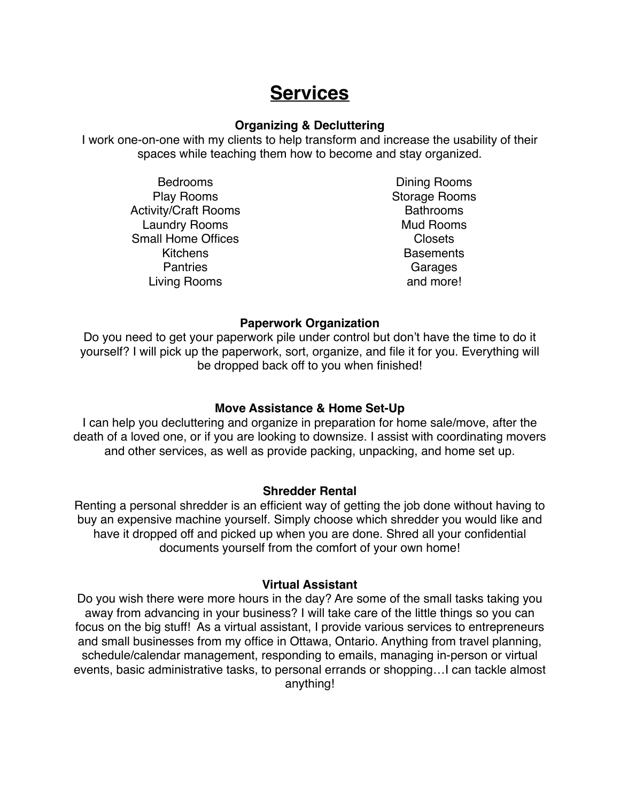# **Services**

### **Organizing & Decluttering**

I work one-on-one with my clients to help transform and increase the usability of their spaces while teaching them how to become and stay organized.

> Bedrooms Play Rooms Activity/Craft Rooms Laundry Rooms Small Home Offices **Kitchens Pantries** Living Rooms

Dining Rooms Storage Rooms Bathrooms Mud Rooms Closets **Basements** Garages and more!

#### **Paperwork Organization**

Do you need to get your paperwork pile under control but don't have the time to do it yourself? I will pick up the paperwork, sort, organize, and file it for you. Everything will be dropped back off to you when finished!

## **Move Assistance & Home Set-Up**

I can help you decluttering and organize in preparation for home sale/move, after the death of a loved one, or if you are looking to downsize. I assist with coordinating movers and other services, as well as provide packing, unpacking, and home set up.

#### **Shredder Rental**

Renting a personal shredder is an efficient way of getting the job done without having to buy an expensive machine yourself. Simply choose which shredder you would like and have it dropped off and picked up when you are done. Shred all your confidential documents yourself from the comfort of your own home!

#### **Virtual Assistant**

Do you wish there were more hours in the day? Are some of the small tasks taking you away from advancing in your business? I will take care of the little things so you can focus on the big stuff! As a virtual assistant, I provide various services to entrepreneurs and small businesses from my office in Ottawa, Ontario. Anything from travel planning, schedule/calendar management, responding to emails, managing in-person or virtual events, basic administrative tasks, to personal errands or shopping…I can tackle almost anything!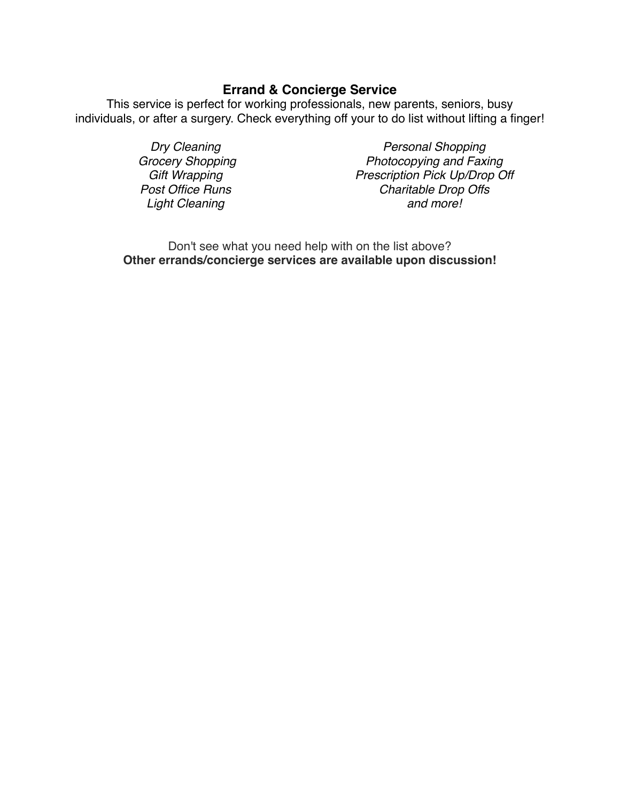# **Errand & Concierge Service**

This service is perfect for working professionals, new parents, seniors, busy individuals, or after a surgery. Check everything off your to do list without lifting a finger!

> *Dry Cleaning Grocery Shopping Gift Wrapping Post Office Runs Light Cleaning*

*Personal Shopping Photocopying and Faxing Prescription Pick Up/Drop Off Charitable Drop Offs and more!*

Don't see what you need help with on the list above? **Other errands/concierge services are available upon discussion!**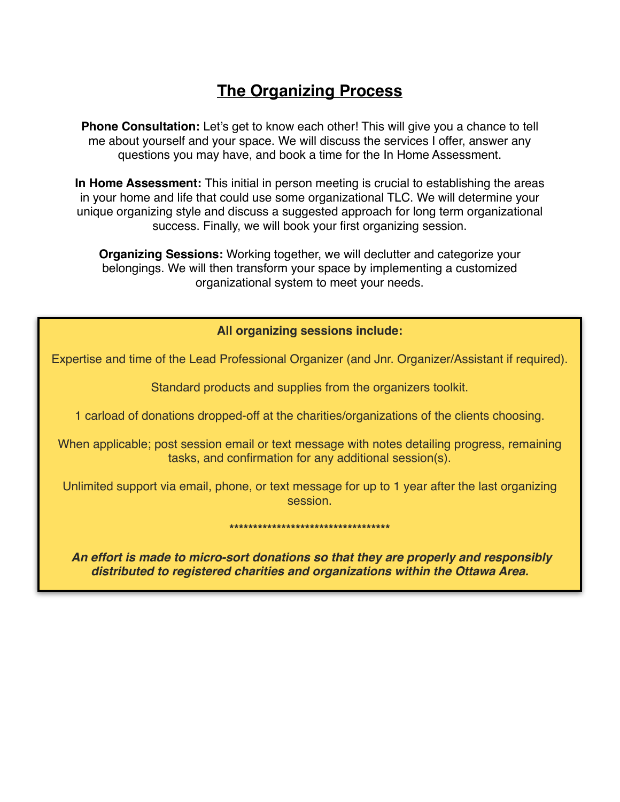# **The Organizing Process**

**Phone Consultation:** Let's get to know each other! This will give you a chance to tell me about yourself and your space. We will discuss the services I offer, answer any questions you may have, and book a time for the In Home Assessment.

**In Home Assessment:** This initial in person meeting is crucial to establishing the areas in your home and life that could use some organizational TLC. We will determine your unique organizing style and discuss a suggested approach for long term organizational success. Finally, we will book your first organizing session.

**Organizing Sessions:** Working together, we will declutter and categorize your belongings. We will then transform your space by implementing a customized organizational system to meet your needs.

# **All organizing sessions include:**

Expertise and time of the Lead Professional Organizer (and Jnr. Organizer/Assistant if required).

Standard products and supplies from the organizers toolkit.

1 carload of donations dropped-off at the charities/organizations of the clients choosing.

When applicable; post session email or text message with notes detailing progress, remaining tasks, and confirmation for any additional session(s).

Unlimited support via email, phone, or text message for up to 1 year after the last organizing session.

#### **\*\*\*\*\*\*\*\*\*\*\*\*\*\*\*\*\*\*\*\*\*\*\*\*\*\*\*\*\*\*\*\*\*\***

*An effort is made to micro-sort donations so that they are properly and responsibly distributed to registered charities and organizations within the Ottawa Area.*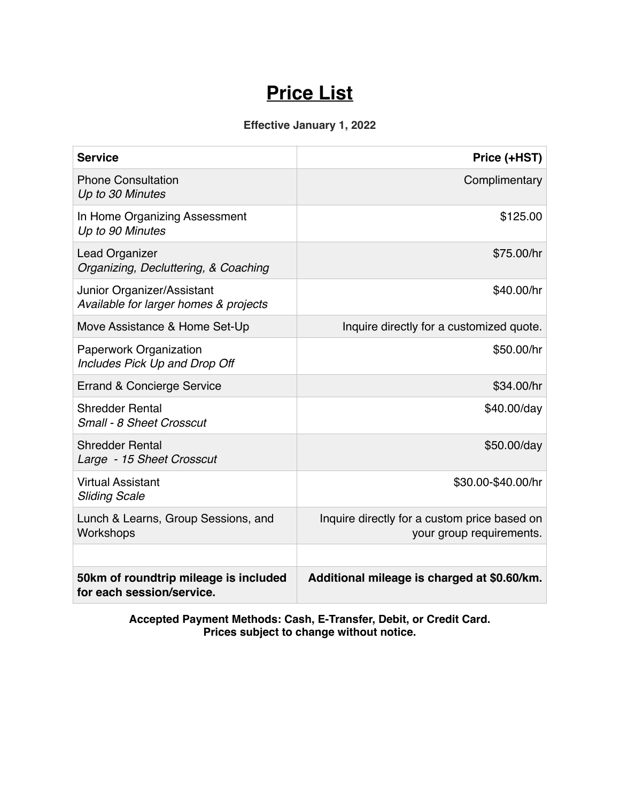# **Price List**

# **Effective January 1, 2022**

| <b>Service</b>                                                      | Price (+HST)                                                             |  |
|---------------------------------------------------------------------|--------------------------------------------------------------------------|--|
| <b>Phone Consultation</b><br>Up to 30 Minutes                       | Complimentary                                                            |  |
| In Home Organizing Assessment<br>Up to 90 Minutes                   | \$125.00                                                                 |  |
| <b>Lead Organizer</b><br>Organizing, Decluttering, & Coaching       | \$75.00/hr                                                               |  |
| Junior Organizer/Assistant<br>Available for larger homes & projects | \$40.00/hr                                                               |  |
| Move Assistance & Home Set-Up                                       | Inquire directly for a customized quote.                                 |  |
| Paperwork Organization<br>Includes Pick Up and Drop Off             | \$50.00/hr                                                               |  |
| Errand & Concierge Service                                          | \$34.00/hr                                                               |  |
| <b>Shredder Rental</b><br>Small - 8 Sheet Crosscut                  | \$40.00/day                                                              |  |
| <b>Shredder Rental</b><br>Large - 15 Sheet Crosscut                 | \$50.00/day                                                              |  |
| <b>Virtual Assistant</b><br><b>Sliding Scale</b>                    | \$30.00-\$40.00/hr                                                       |  |
| Lunch & Learns, Group Sessions, and<br>Workshops                    | Inquire directly for a custom price based on<br>your group requirements. |  |
|                                                                     |                                                                          |  |
| 50km of roundtrip mileage is included<br>for each session/service.  | Additional mileage is charged at \$0.60/km.                              |  |

**Accepted Payment Methods: Cash, E-Transfer, Debit, or Credit Card. Prices subject to change without notice.**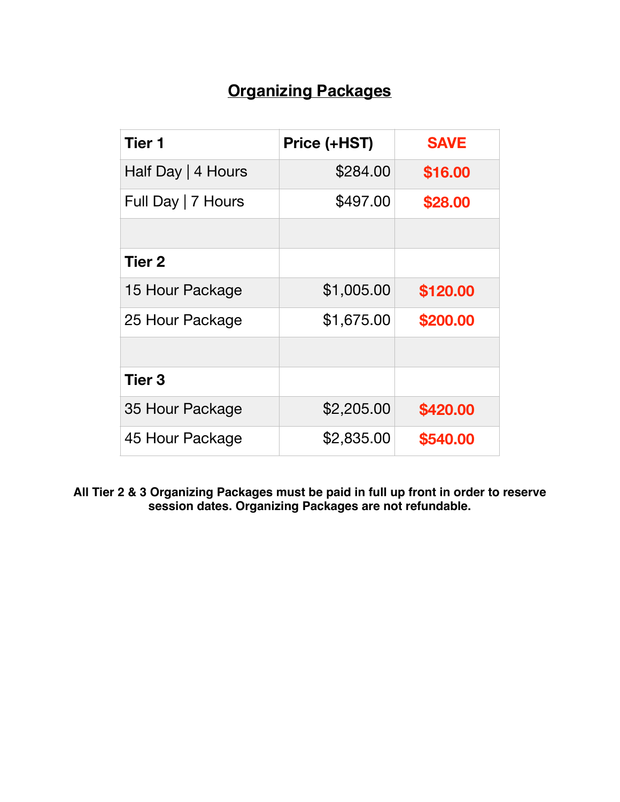# **Organizing Packages**

| Tier 1             | Price (+HST) | <b>SAVE</b> |
|--------------------|--------------|-------------|
| Half Day   4 Hours | \$284.00     | \$16.00     |
| Full Day   7 Hours | \$497.00     | \$28.00     |
|                    |              |             |
| Tier 2             |              |             |
| 15 Hour Package    | \$1,005.00   | \$120.00    |
| 25 Hour Package    | \$1,675.00   | \$200.00    |
|                    |              |             |
| <b>Tier 3</b>      |              |             |
| 35 Hour Package    | \$2,205.00   | \$420.00    |
| 45 Hour Package    | \$2,835.00   | \$540.00    |

**All Tier 2 & 3 Organizing Packages must be paid in full up front in order to reserve session dates. Organizing Packages are not refundable.**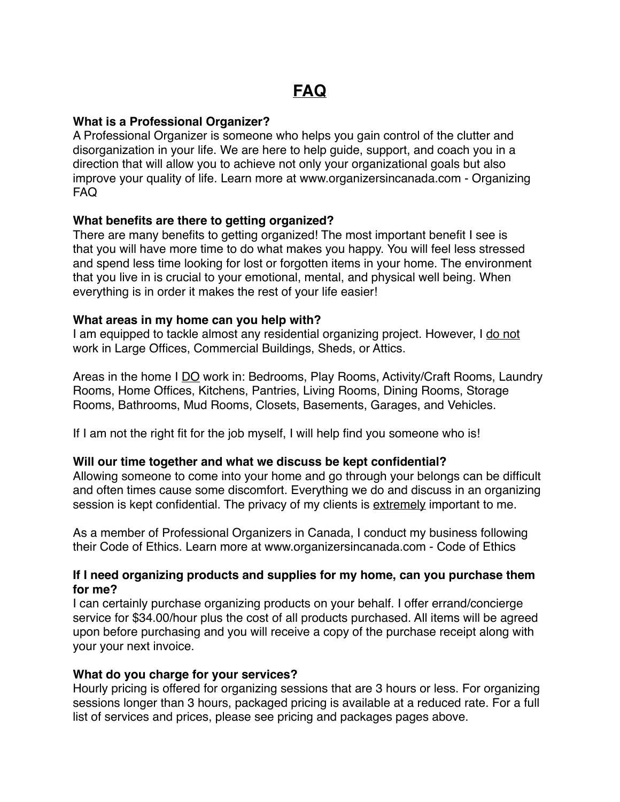### **What is a Professional Organizer?**

A Professional Organizer is someone who helps you gain control of the clutter and disorganization in your life. We are here to help guide, support, and coach you in a direction that will allow you to achieve not only your organizational goals but also improve your quality of life. Learn more at [www.organizersincanada.com](https://www.organizersincanada.com/getorganized/get-organized.html) - Organizing FAQ

## **What benefits are there to getting organized?**

There are many benefits to getting organized! The most important benefit I see is that you will have more time to do what makes you happy. You will feel less stressed and spend less time looking for lost or forgotten items in your home. The environment that you live in is crucial to your emotional, mental, and physical well being. When everything is in order it makes the rest of your life easier!

#### **What areas in my home can you help with?**

I am equipped to tackle almost any residential organizing project. However, I do not work in Large Offices, Commercial Buildings, Sheds, or Attics.

Areas in the home I DO work in: Bedrooms, Play Rooms, Activity/Craft Rooms, Laundry Rooms, Home Offices, Kitchens, Pantries, Living Rooms, Dining Rooms, Storage Rooms, Bathrooms, Mud Rooms, Closets, Basements, Garages, and Vehicles.

If I am not the right fit for the job myself, I will help find you someone who is!

#### **Will our time together and what we discuss be kept confidential?**

Allowing someone to come into your home and go through your belongs can be difficult and often times cause some discomfort. Everything we do and discuss in an organizing session is kept confidential. The privacy of my clients is extremely important to me.

As a member of Professional Organizers in Canada, I conduct my business following their Code of Ethics. Learn more at [www.organizersincanada.com](https://www.organizersincanada.com/about/code-of-ethics.html) - Code of Ethics

#### **If I need organizing products and supplies for my home, can you purchase them for me?**

I can certainly purchase organizing products on your behalf. I offer errand/concierge service for \$34.00/hour plus the cost of all products purchased. All items will be agreed upon before purchasing and you will receive a copy of the purchase receipt along with your your next invoice.

#### **What do you charge for your services?**

Hourly pricing is offered for organizing sessions that are 3 hours or less. For organizing sessions longer than 3 hours, packaged pricing is available at a reduced rate. For a full list of services and prices, please see [pricing](https://www.busybeeorganize.ca/) and [packages](https://www.busybeeorganize.ca/packages.html) pages above.